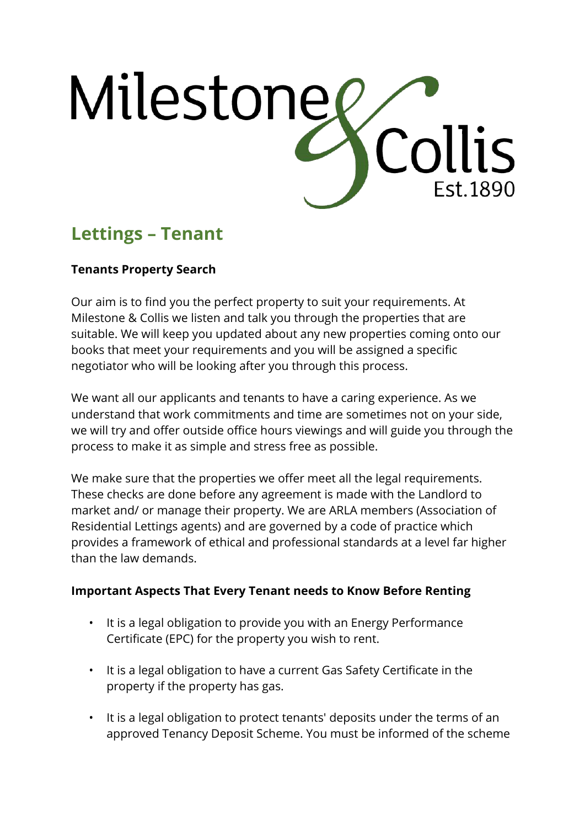

# **Lettings – Tenant**

# **Tenants Property Search**

Our aim is to find you the perfect property to suit your requirements. At Milestone & Collis we listen and talk you through the properties that are suitable. We will keep you updated about any new properties coming onto our books that meet your requirements and you will be assigned a specific negotiator who will be looking after you through this process.

We want all our applicants and tenants to have a caring experience. As we understand that work commitments and time are sometimes not on your side, we will try and offer outside office hours viewings and will guide you through the process to make it as simple and stress free as possible.

We make sure that the properties we offer meet all the legal requirements. These checks are done before any agreement is made with the Landlord to market and/ or manage their property. We are ARLA members (Association of Residential Lettings agents) and are governed by a code of practice which provides a framework of ethical and professional standards at a level far higher than the law demands.

## **Important Aspects That Every Tenant needs to Know Before Renting**

- It is a legal obligation to provide you with an Energy Performance Certificate (EPC) for the property you wish to rent.
- It is a legal obligation to have a current Gas Safety Certificate in the property if the property has gas.
- It is a legal obligation to protect tenants' deposits under the terms of an approved Tenancy Deposit Scheme. You must be informed of the scheme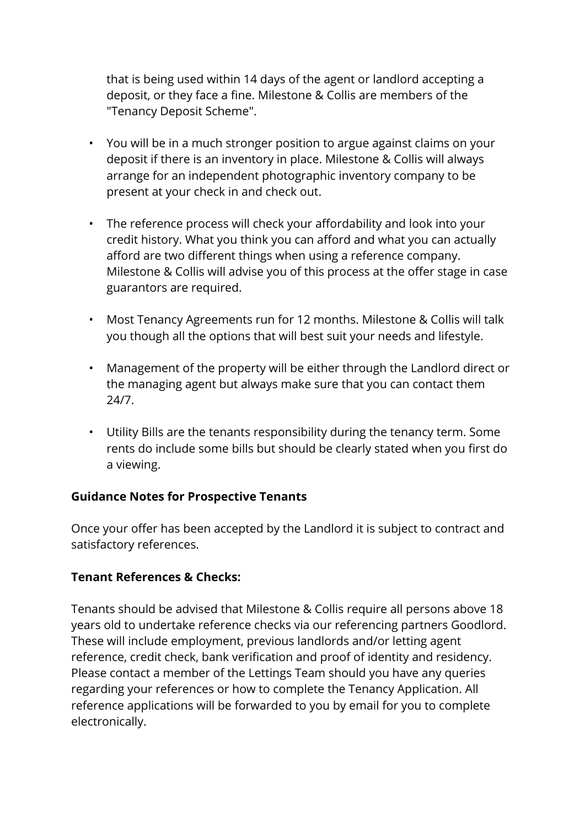that is being used within 14 days of the agent or landlord accepting a deposit, or they face a fine. Milestone & Collis are members of the "Tenancy Deposit Scheme".

- You will be in a much stronger position to argue against claims on your deposit if there is an inventory in place. Milestone & Collis will always arrange for an independent photographic inventory company to be present at your check in and check out.
- The reference process will check your affordability and look into your credit history. What you think you can afford and what you can actually afford are two different things when using a reference company. Milestone & Collis will advise you of this process at the offer stage in case guarantors are required.
- Most Tenancy Agreements run for 12 months. Milestone & Collis will talk you though all the options that will best suit your needs and lifestyle.
- Management of the property will be either through the Landlord direct or the managing agent but always make sure that you can contact them 24/7.
- Utility Bills are the tenants responsibility during the tenancy term. Some rents do include some bills but should be clearly stated when you first do a viewing.

## **Guidance Notes for Prospective Tenants**

Once your offer has been accepted by the Landlord it is subject to contract and satisfactory references.

#### **Tenant References & Checks:**

Tenants should be advised that Milestone & Collis require all persons above 18 years old to undertake reference checks via our referencing partners Goodlord. These will include employment, previous landlords and/or letting agent reference, credit check, bank verification and proof of identity and residency. Please contact a member of the Lettings Team should you have any queries regarding your references or how to complete the Tenancy Application. All reference applications will be forwarded to you by email for you to complete electronically.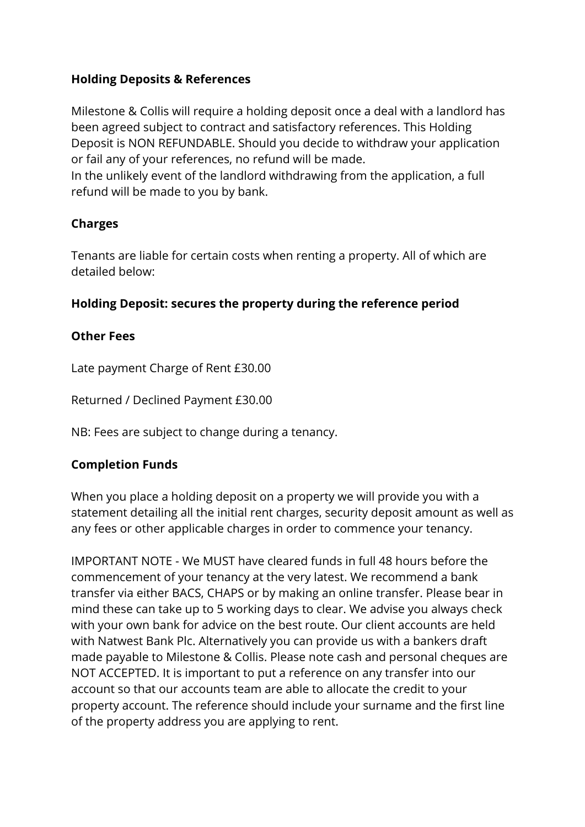## **Holding Deposits & References**

Milestone & Collis will require a holding deposit once a deal with a landlord has been agreed subject to contract and satisfactory references. This Holding Deposit is NON REFUNDABLE. Should you decide to withdraw your application or fail any of your references, no refund will be made.

In the unlikely event of the landlord withdrawing from the application, a full refund will be made to you by bank.

# **Charges**

Tenants are liable for certain costs when renting a property. All of which are detailed below:

# **Holding Deposit: secures the property during the reference period**

## **Other Fees**

Late payment Charge of Rent £30.00

Returned / Declined Payment £30.00

NB: Fees are subject to change during a tenancy.

## **Completion Funds**

When you place a holding deposit on a property we will provide you with a statement detailing all the initial rent charges, security deposit amount as well as any fees or other applicable charges in order to commence your tenancy.

IMPORTANT NOTE - We MUST have cleared funds in full 48 hours before the commencement of your tenancy at the very latest. We recommend a bank transfer via either BACS, CHAPS or by making an online transfer. Please bear in mind these can take up to 5 working days to clear. We advise you always check with your own bank for advice on the best route. Our client accounts are held with Natwest Bank Plc. Alternatively you can provide us with a bankers draft made payable to Milestone & Collis. Please note cash and personal cheques are NOT ACCEPTED. It is important to put a reference on any transfer into our account so that our accounts team are able to allocate the credit to your property account. The reference should include your surname and the first line of the property address you are applying to rent.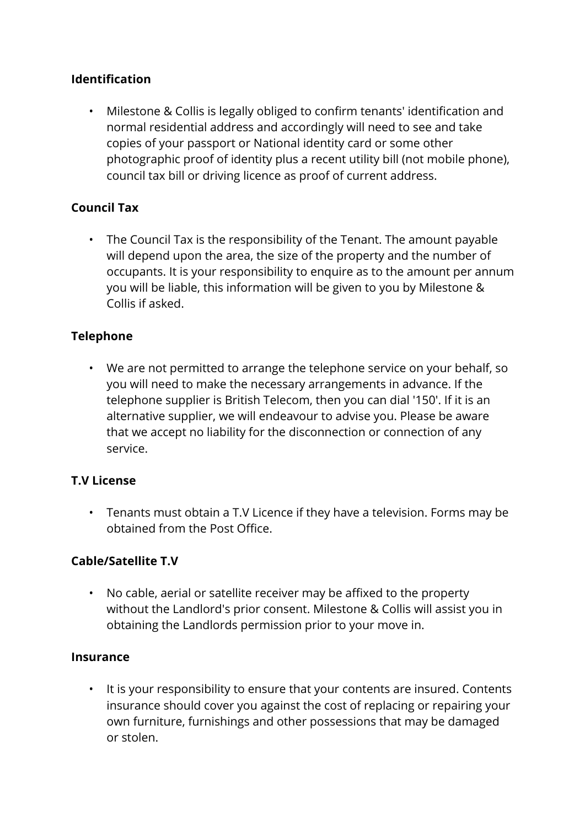## **Identification**

• Milestone & Collis is legally obliged to confirm tenants' identification and normal residential address and accordingly will need to see and take copies of your passport or National identity card or some other photographic proof of identity plus a recent utility bill (not mobile phone), council tax bill or driving licence as proof of current address.

#### **Council Tax**

• The Council Tax is the responsibility of the Tenant. The amount payable will depend upon the area, the size of the property and the number of occupants. It is your responsibility to enquire as to the amount per annum you will be liable, this information will be given to you by Milestone & Collis if asked.

#### **Telephone**

• We are not permitted to arrange the telephone service on your behalf, so you will need to make the necessary arrangements in advance. If the telephone supplier is British Telecom, then you can dial '150'. If it is an alternative supplier, we will endeavour to advise you. Please be aware that we accept no liability for the disconnection or connection of any service.

#### **T.V License**

• Tenants must obtain a T.V Licence if they have a television. Forms may be obtained from the Post Office.

#### **Cable/Satellite T.V**

• No cable, aerial or satellite receiver may be affixed to the property without the Landlord's prior consent. Milestone & Collis will assist you in obtaining the Landlords permission prior to your move in.

#### **Insurance**

• It is your responsibility to ensure that your contents are insured. Contents insurance should cover you against the cost of replacing or repairing your own furniture, furnishings and other possessions that may be damaged or stolen.